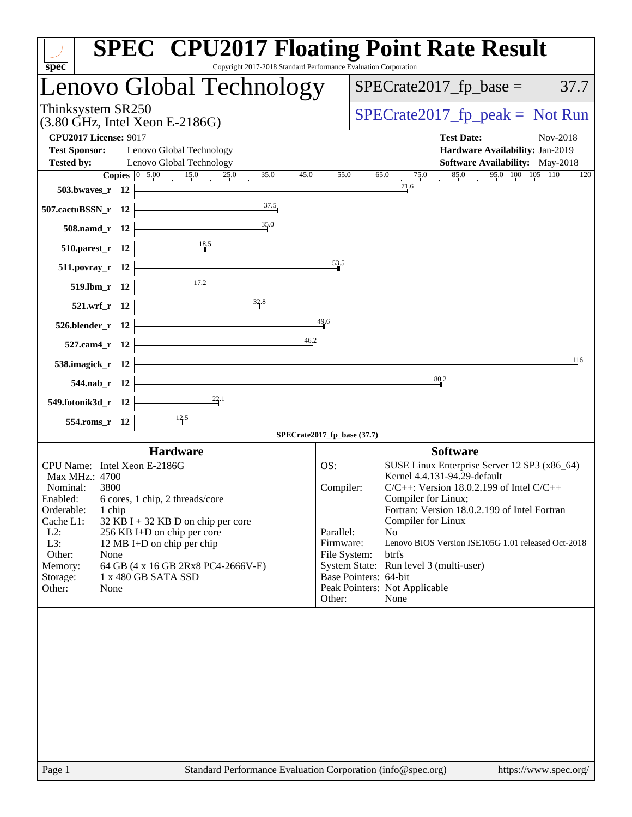| <b>SPEC<sup>®</sup> CPU2017 Floating Point Rate Result</b><br>Copyright 2017-2018 Standard Performance Evaluation Corporation<br>spec <sup>®</sup>                                                                                                                                                                                                                                                   |                                                                                                                                                                                                                                                                                                                                                                                                                                                                                                 |
|------------------------------------------------------------------------------------------------------------------------------------------------------------------------------------------------------------------------------------------------------------------------------------------------------------------------------------------------------------------------------------------------------|-------------------------------------------------------------------------------------------------------------------------------------------------------------------------------------------------------------------------------------------------------------------------------------------------------------------------------------------------------------------------------------------------------------------------------------------------------------------------------------------------|
| Lenovo Global Technology                                                                                                                                                                                                                                                                                                                                                                             | $SPECrate2017_fp\_base =$<br>37.7                                                                                                                                                                                                                                                                                                                                                                                                                                                               |
| Thinksystem SR250<br>$(3.80 \text{ GHz}, \text{Intel Xeon E-2186G})$                                                                                                                                                                                                                                                                                                                                 | $SPECrate2017_fp\_peak = Not Run$                                                                                                                                                                                                                                                                                                                                                                                                                                                               |
| <b>CPU2017 License: 9017</b><br>Lenovo Global Technology<br><b>Test Sponsor:</b><br><b>Tested by:</b><br>Lenovo Global Technology                                                                                                                                                                                                                                                                    | <b>Test Date:</b><br>Nov-2018<br>Hardware Availability: Jan-2019<br><b>Software Availability:</b> May-2018                                                                                                                                                                                                                                                                                                                                                                                      |
| <b>Copies</b> $\begin{bmatrix} 0 & 5.00 & 15.0 \end{bmatrix}$<br>25.0<br>35.0<br>45.0<br>503.bwaves_r $12$<br>37.5<br>507.cactuBSSN_r $12$                                                                                                                                                                                                                                                           | 95.0 100 105 110<br>75.0<br>85.0<br>55.0<br>65.0<br>120<br>71.6                                                                                                                                                                                                                                                                                                                                                                                                                                 |
| 35.0<br>$508$ .namd_r 12                                                                                                                                                                                                                                                                                                                                                                             |                                                                                                                                                                                                                                                                                                                                                                                                                                                                                                 |
| $\begin{array}{c c}\n & 18.5 \\ \hline\n \end{array}$<br>$510.parest_r 12$                                                                                                                                                                                                                                                                                                                           |                                                                                                                                                                                                                                                                                                                                                                                                                                                                                                 |
| 511.povray_r 12 $\vert$                                                                                                                                                                                                                                                                                                                                                                              | 53.5                                                                                                                                                                                                                                                                                                                                                                                                                                                                                            |
| $\frac{17.2}{2}$<br>$519. lbm_r 12$                                                                                                                                                                                                                                                                                                                                                                  |                                                                                                                                                                                                                                                                                                                                                                                                                                                                                                 |
| $\frac{32.8}{ }$<br>$521.wrf_r 12$<br>$526.blender_r 12$                                                                                                                                                                                                                                                                                                                                             | 49.6                                                                                                                                                                                                                                                                                                                                                                                                                                                                                            |
| 46.2<br>$527$ .cam4_r 12 $\vdash$                                                                                                                                                                                                                                                                                                                                                                    |                                                                                                                                                                                                                                                                                                                                                                                                                                                                                                 |
| 538.imagick_r $12$                                                                                                                                                                                                                                                                                                                                                                                   | 116                                                                                                                                                                                                                                                                                                                                                                                                                                                                                             |
| $544$ .nab_r 12 $\vdash$                                                                                                                                                                                                                                                                                                                                                                             | 80.2                                                                                                                                                                                                                                                                                                                                                                                                                                                                                            |
| 549.fotonik3d_r $12$                                                                                                                                                                                                                                                                                                                                                                                 |                                                                                                                                                                                                                                                                                                                                                                                                                                                                                                 |
| $554$ .roms_r 12 $\vert$                                                                                                                                                                                                                                                                                                                                                                             | SPECrate2017_fp_base (37.7)                                                                                                                                                                                                                                                                                                                                                                                                                                                                     |
| <b>Hardware</b>                                                                                                                                                                                                                                                                                                                                                                                      | <b>Software</b>                                                                                                                                                                                                                                                                                                                                                                                                                                                                                 |
| CPU Name: Intel Xeon E-2186G<br>Max MHz.: 4700<br>Nominal:<br>3800<br>Enabled:<br>6 cores, 1 chip, 2 threads/core<br>Orderable:<br>1 chip<br>Cache L1:<br>$32$ KB I + 32 KB D on chip per core<br>$L2$ :<br>256 KB I+D on chip per core<br>L3:<br>12 MB I+D on chip per chip<br>Other:<br>None<br>64 GB (4 x 16 GB 2Rx8 PC4-2666V-E)<br>Memory:<br>1 x 480 GB SATA SSD<br>Storage:<br>Other:<br>None | OS:<br>SUSE Linux Enterprise Server 12 SP3 (x86_64)<br>Kernel 4.4.131-94.29-default<br>Compiler:<br>$C/C++$ : Version 18.0.2.199 of Intel $C/C++$<br>Compiler for Linux;<br>Fortran: Version 18.0.2.199 of Intel Fortran<br>Compiler for Linux<br>Parallel:<br>N <sub>0</sub><br>Lenovo BIOS Version ISE105G 1.01 released Oct-2018<br>Firmware:<br>File System:<br>btrfs<br>System State: Run level 3 (multi-user)<br>Base Pointers: 64-bit<br>Peak Pointers: Not Applicable<br>Other:<br>None |
|                                                                                                                                                                                                                                                                                                                                                                                                      |                                                                                                                                                                                                                                                                                                                                                                                                                                                                                                 |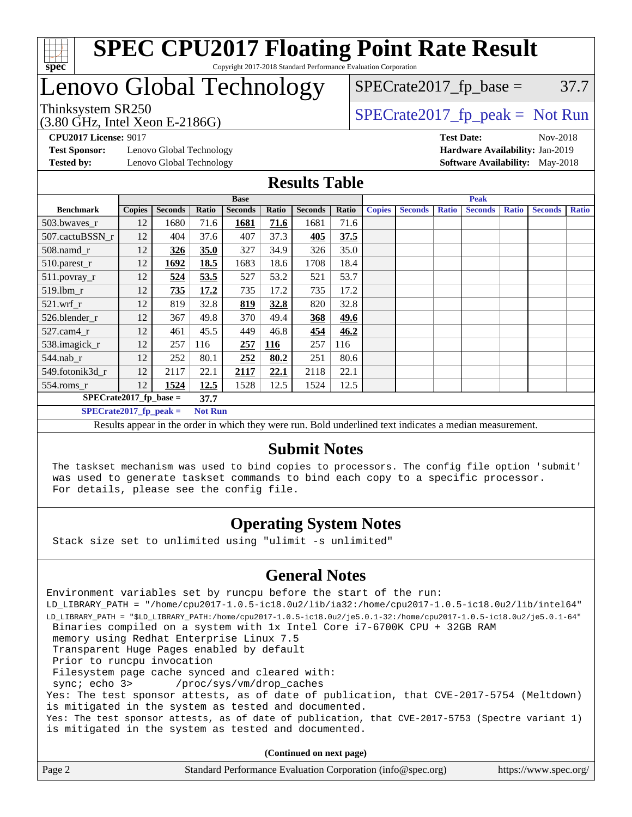

# Lenovo Global Technology

Thinksystem SR250  $SPECrate2017$  fp\_peak = Not Run  $SPECTate2017<sub>fp</sub> base =  $37.7$$ 

(3.80 GHz, Intel Xeon E-2186G)

**[Test Sponsor:](http://www.spec.org/auto/cpu2017/Docs/result-fields.html#TestSponsor)** Lenovo Global Technology **[Hardware Availability:](http://www.spec.org/auto/cpu2017/Docs/result-fields.html#HardwareAvailability)** Jan-2019 **[Tested by:](http://www.spec.org/auto/cpu2017/Docs/result-fields.html#Testedby)** Lenovo Global Technology **[Software Availability:](http://www.spec.org/auto/cpu2017/Docs/result-fields.html#SoftwareAvailability)** May-2018

**[CPU2017 License:](http://www.spec.org/auto/cpu2017/Docs/result-fields.html#CPU2017License)** 9017 **[Test Date:](http://www.spec.org/auto/cpu2017/Docs/result-fields.html#TestDate)** Nov-2018

#### **[Results Table](http://www.spec.org/auto/cpu2017/Docs/result-fields.html#ResultsTable)**

|                                            | <b>Base</b>   |                |       |                |       |                | <b>Peak</b> |               |                |              |                |              |                |              |
|--------------------------------------------|---------------|----------------|-------|----------------|-------|----------------|-------------|---------------|----------------|--------------|----------------|--------------|----------------|--------------|
| <b>Benchmark</b>                           | <b>Copies</b> | <b>Seconds</b> | Ratio | <b>Seconds</b> | Ratio | <b>Seconds</b> | Ratio       | <b>Copies</b> | <b>Seconds</b> | <b>Ratio</b> | <b>Seconds</b> | <b>Ratio</b> | <b>Seconds</b> | <b>Ratio</b> |
| 503.bwayes_r                               | 12            | 1680           | 71.6  | 1681           | 71.6  | 1681           | 71.6        |               |                |              |                |              |                |              |
| 507.cactuBSSN_r                            | 12            | 404            | 37.6  | 407            | 37.3  | 405            | 37.5        |               |                |              |                |              |                |              |
| $508$ .namd $_r$                           | 12            | 326            | 35.0  | 327            | 34.9  | 326            | 35.0        |               |                |              |                |              |                |              |
| 510.parest_r                               | 12            | 1692           | 18.5  | 1683           | 18.6  | 1708           | 18.4        |               |                |              |                |              |                |              |
| 511.povray_r                               | 12            | 524            | 53.5  | 527            | 53.2  | 521            | 53.7        |               |                |              |                |              |                |              |
| 519.lbm r                                  | 12            | 735            | 17.2  | 735            | 17.2  | 735            | 17.2        |               |                |              |                |              |                |              |
| $521.wrf_r$                                | 12            | 819            | 32.8  | 819            | 32.8  | 820            | 32.8        |               |                |              |                |              |                |              |
| 526.blender_r                              | 12            | 367            | 49.8  | 370            | 49.4  | 368            | 49.6        |               |                |              |                |              |                |              |
| $527$ .cam $4r$                            | 12            | 461            | 45.5  | 449            | 46.8  | 454            | 46.2        |               |                |              |                |              |                |              |
| 538.imagick_r                              | 12            | 257            | 116   | 257            | 116   | 257            | 116         |               |                |              |                |              |                |              |
| $544$ .nab_r                               | 12            | 252            | 80.1  | 252            | 80.2  | 251            | 80.6        |               |                |              |                |              |                |              |
| 549.fotonik3d r                            | 12            | 2117           | 22.1  | 2117           | 22.1  | 2118           | 22.1        |               |                |              |                |              |                |              |
| $554$ .roms $r$                            | 12            | 1524           | 12.5  | 1528           | 12.5  | 1524           | 12.5        |               |                |              |                |              |                |              |
| $SPECrate2017_fp\_base =$<br>37.7          |               |                |       |                |       |                |             |               |                |              |                |              |                |              |
| $SPECrate2017_fp_peak =$<br><b>Not Run</b> |               |                |       |                |       |                |             |               |                |              |                |              |                |              |

Results appear in the [order in which they were run.](http://www.spec.org/auto/cpu2017/Docs/result-fields.html#RunOrder) Bold underlined text [indicates a median measurement.](http://www.spec.org/auto/cpu2017/Docs/result-fields.html#Median)

#### **[Submit Notes](http://www.spec.org/auto/cpu2017/Docs/result-fields.html#SubmitNotes)**

 The taskset mechanism was used to bind copies to processors. The config file option 'submit' was used to generate taskset commands to bind each copy to a specific processor. For details, please see the config file.

### **[Operating System Notes](http://www.spec.org/auto/cpu2017/Docs/result-fields.html#OperatingSystemNotes)**

Stack size set to unlimited using "ulimit -s unlimited"

### **[General Notes](http://www.spec.org/auto/cpu2017/Docs/result-fields.html#GeneralNotes)**

Environment variables set by runcpu before the start of the run: LD\_LIBRARY\_PATH = "/home/cpu2017-1.0.5-ic18.0u2/lib/ia32:/home/cpu2017-1.0.5-ic18.0u2/lib/intel64" LD\_LIBRARY\_PATH = "\$LD\_LIBRARY\_PATH:/home/cpu2017-1.0.5-ic18.0u2/je5.0.1-32:/home/cpu2017-1.0.5-ic18.0u2/je5.0.1-64" Binaries compiled on a system with 1x Intel Core i7-6700K CPU + 32GB RAM memory using Redhat Enterprise Linux 7.5 Transparent Huge Pages enabled by default Prior to runcpu invocation Filesystem page cache synced and cleared with: sync; echo 3> /proc/sys/vm/drop\_caches Yes: The test sponsor attests, as of date of publication, that CVE-2017-5754 (Meltdown) is mitigated in the system as tested and documented. Yes: The test sponsor attests, as of date of publication, that CVE-2017-5753 (Spectre variant 1) is mitigated in the system as tested and documented.

**(Continued on next page)**

| Page 2 | Standard Performance Evaluation Corporation (info@spec.org) | https://www.spec.org/ |
|--------|-------------------------------------------------------------|-----------------------|
|        |                                                             |                       |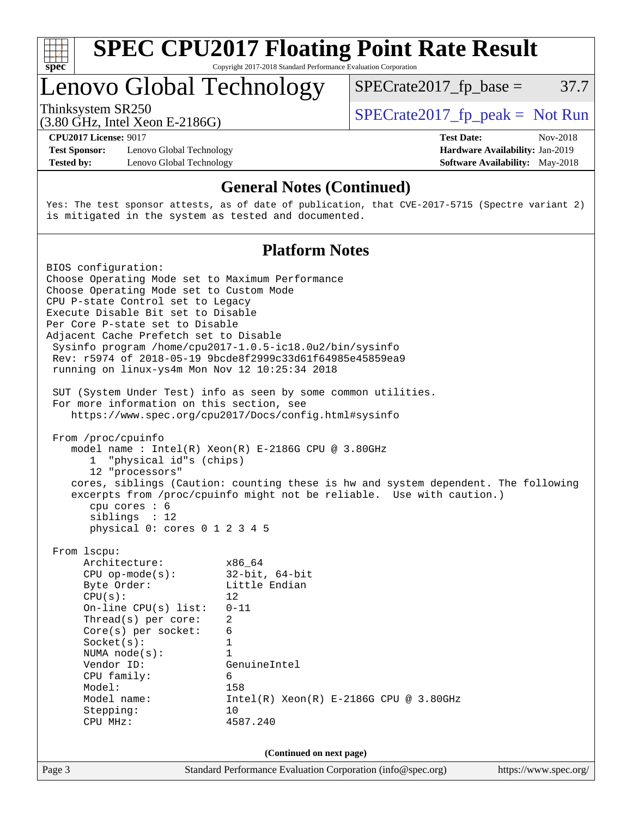

# Lenovo Global Technology

Thinksystem SR250  $SPECrate2017$  fp\_peak = Not Run

 $SPECTate2017<sub>fp</sub> base =  $37.7$$ 

(3.80 GHz, Intel Xeon E-2186G)

**[Test Sponsor:](http://www.spec.org/auto/cpu2017/Docs/result-fields.html#TestSponsor)** Lenovo Global Technology **[Hardware Availability:](http://www.spec.org/auto/cpu2017/Docs/result-fields.html#HardwareAvailability)** Jan-2019 **[Tested by:](http://www.spec.org/auto/cpu2017/Docs/result-fields.html#Testedby)** Lenovo Global Technology **[Software Availability:](http://www.spec.org/auto/cpu2017/Docs/result-fields.html#SoftwareAvailability)** May-2018

**[CPU2017 License:](http://www.spec.org/auto/cpu2017/Docs/result-fields.html#CPU2017License)** 9017 **[Test Date:](http://www.spec.org/auto/cpu2017/Docs/result-fields.html#TestDate)** Nov-2018

#### **[General Notes \(Continued\)](http://www.spec.org/auto/cpu2017/Docs/result-fields.html#GeneralNotes)**

Yes: The test sponsor attests, as of date of publication, that CVE-2017-5715 (Spectre variant 2) is mitigated in the system as tested and documented.

#### **[Platform Notes](http://www.spec.org/auto/cpu2017/Docs/result-fields.html#PlatformNotes)**

Page 3 Standard Performance Evaluation Corporation [\(info@spec.org\)](mailto:info@spec.org) <https://www.spec.org/> BIOS configuration: Choose Operating Mode set to Maximum Performance Choose Operating Mode set to Custom Mode CPU P-state Control set to Legacy Execute Disable Bit set to Disable Per Core P-state set to Disable Adjacent Cache Prefetch set to Disable Sysinfo program /home/cpu2017-1.0.5-ic18.0u2/bin/sysinfo Rev: r5974 of 2018-05-19 9bcde8f2999c33d61f64985e45859ea9 running on linux-ys4m Mon Nov 12 10:25:34 2018 SUT (System Under Test) info as seen by some common utilities. For more information on this section, see <https://www.spec.org/cpu2017/Docs/config.html#sysinfo> From /proc/cpuinfo model name : Intel(R) Xeon(R) E-2186G CPU @ 3.80GHz 1 "physical id"s (chips) 12 "processors" cores, siblings (Caution: counting these is hw and system dependent. The following excerpts from /proc/cpuinfo might not be reliable. Use with caution.) cpu cores : 6 siblings : 12 physical 0: cores 0 1 2 3 4 5 From lscpu: Architecture: x86\_64 CPU op-mode(s): 32-bit, 64-bit Byte Order: Little Endian  $CPU(s):$  12 On-line CPU(s) list: 0-11 Thread(s) per core: 2 Core(s) per socket: 6 Socket(s): 1 NUMA node(s): 1 Vendor ID: GenuineIntel CPU family: 6 Model: 158 Model name: Intel(R) Xeon(R) E-2186G CPU @ 3.80GHz Stepping: 10 CPU MHz: 4587.240 **(Continued on next page)**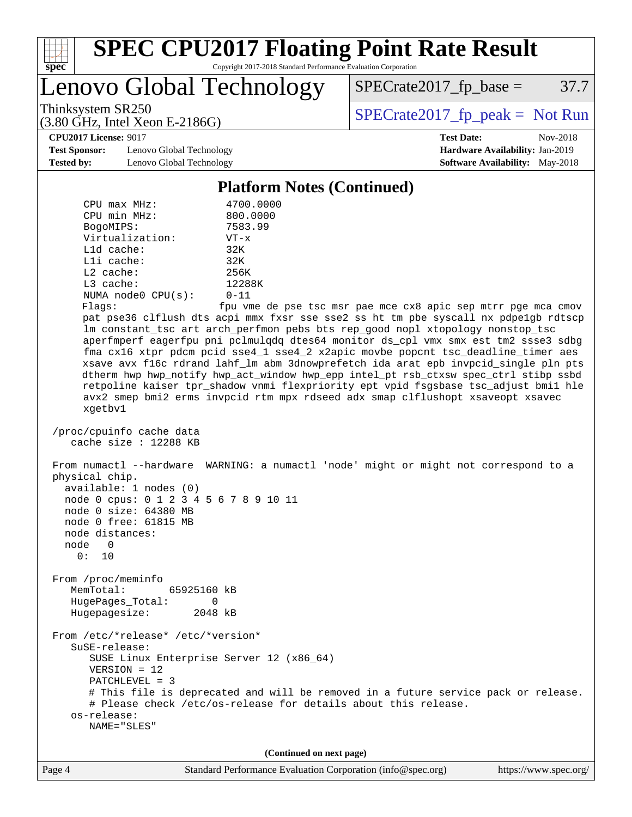

Lenovo Global Technology

 $SPECrate2017_fp\_base = 37.7$ 

(3.80 GHz, Intel Xeon E-2186G)

Thinksystem SR250<br>  $(3.80 \text{ GHz})$  Intel Yeon E-2186G)

**[Test Sponsor:](http://www.spec.org/auto/cpu2017/Docs/result-fields.html#TestSponsor)** Lenovo Global Technology **[Hardware Availability:](http://www.spec.org/auto/cpu2017/Docs/result-fields.html#HardwareAvailability)** Jan-2019 **[Tested by:](http://www.spec.org/auto/cpu2017/Docs/result-fields.html#Testedby)** Lenovo Global Technology **[Software Availability:](http://www.spec.org/auto/cpu2017/Docs/result-fields.html#SoftwareAvailability)** May-2018

**[CPU2017 License:](http://www.spec.org/auto/cpu2017/Docs/result-fields.html#CPU2017License)** 9017 **[Test Date:](http://www.spec.org/auto/cpu2017/Docs/result-fields.html#TestDate)** Nov-2018

#### **[Platform Notes \(Continued\)](http://www.spec.org/auto/cpu2017/Docs/result-fields.html#PlatformNotes)**

| $CPU$ max $MHz$ :                              | 4700.0000                                                                                                                                                                   |  |  |  |  |
|------------------------------------------------|-----------------------------------------------------------------------------------------------------------------------------------------------------------------------------|--|--|--|--|
| CPU min MHz:                                   | 800.0000                                                                                                                                                                    |  |  |  |  |
| BogoMIPS:                                      | 7583.99                                                                                                                                                                     |  |  |  |  |
| Virtualization:                                | $VT - x$                                                                                                                                                                    |  |  |  |  |
| $L1d$ cache:                                   | 32K                                                                                                                                                                         |  |  |  |  |
| Lli cache:                                     | 32K                                                                                                                                                                         |  |  |  |  |
| $L2$ cache:                                    | 256K                                                                                                                                                                        |  |  |  |  |
| L3 cache:                                      | 12288K                                                                                                                                                                      |  |  |  |  |
| NUMA node0 CPU(s):                             | $0 - 11$                                                                                                                                                                    |  |  |  |  |
| Flaqs:                                         | fpu vme de pse tsc msr pae mce cx8 apic sep mtrr pge mca cmov                                                                                                               |  |  |  |  |
|                                                | pat pse36 clflush dts acpi mmx fxsr sse sse2 ss ht tm pbe syscall nx pdpelgb rdtscp<br>lm constant_tsc art arch_perfmon pebs bts rep_good nopl xtopology nonstop_tsc        |  |  |  |  |
|                                                | aperfmperf eagerfpu pni pclmulqdq dtes64 monitor ds_cpl vmx smx est tm2 ssse3 sdbg<br>fma cx16 xtpr pdcm pcid sse4_1 sse4_2 x2apic movbe popcnt tsc_deadline_timer aes      |  |  |  |  |
|                                                | xsave avx f16c rdrand lahf_lm abm 3dnowprefetch ida arat epb invpcid_single pln pts<br>dtherm hwp hwp_notify hwp_act_window hwp_epp intel_pt rsb_ctxsw spec_ctrl stibp ssbd |  |  |  |  |
|                                                | retpoline kaiser tpr_shadow vnmi flexpriority ept vpid fsgsbase tsc_adjust bmil hle<br>avx2 smep bmi2 erms invpcid rtm mpx rdseed adx smap clflushopt xsaveopt xsavec       |  |  |  |  |
| xgetbv1                                        |                                                                                                                                                                             |  |  |  |  |
| /proc/cpuinfo cache data                       |                                                                                                                                                                             |  |  |  |  |
| cache size : $12288$ KB                        |                                                                                                                                                                             |  |  |  |  |
| physical chip.<br>available: 1 nodes (0)       | From numactl --hardware WARNING: a numactl 'node' might or might not correspond to a                                                                                        |  |  |  |  |
| node 0 cpus: 0 1 2 3 4 5 6 7 8 9 10 11         |                                                                                                                                                                             |  |  |  |  |
| node 0 size: 64380 MB<br>node 0 free: 61815 MB |                                                                                                                                                                             |  |  |  |  |
| node distances:                                |                                                                                                                                                                             |  |  |  |  |
| node 0                                         |                                                                                                                                                                             |  |  |  |  |
| 0: 10                                          |                                                                                                                                                                             |  |  |  |  |
|                                                |                                                                                                                                                                             |  |  |  |  |
| From /proc/meminfo                             |                                                                                                                                                                             |  |  |  |  |
| MemTotal:<br>65925160 kB                       |                                                                                                                                                                             |  |  |  |  |
| HugePages_Total:<br>0                          |                                                                                                                                                                             |  |  |  |  |
| Hugepagesize:<br>2048 kB                       |                                                                                                                                                                             |  |  |  |  |
| From /etc/*release* /etc/*version*             |                                                                                                                                                                             |  |  |  |  |
| SuSE-release:                                  |                                                                                                                                                                             |  |  |  |  |
| SUSE Linux Enterprise Server 12 (x86_64)       |                                                                                                                                                                             |  |  |  |  |
| $VERSION = 12$                                 |                                                                                                                                                                             |  |  |  |  |
| PATCHLEVEL = 3                                 |                                                                                                                                                                             |  |  |  |  |
|                                                | # This file is deprecated and will be removed in a future service pack or release.                                                                                          |  |  |  |  |
|                                                | # Please check /etc/os-release for details about this release.                                                                                                              |  |  |  |  |
| os-release:                                    |                                                                                                                                                                             |  |  |  |  |
| NAME="SLES"                                    |                                                                                                                                                                             |  |  |  |  |
|                                                |                                                                                                                                                                             |  |  |  |  |
| (Continued on next page)                       |                                                                                                                                                                             |  |  |  |  |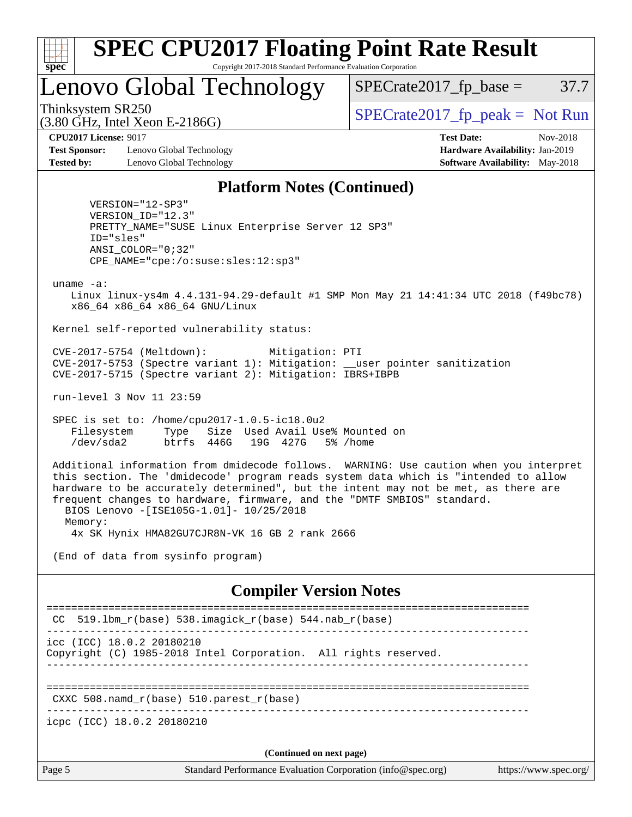

# Lenovo Global Technology

 $SPECTate2017<sub>fp</sub> base =  $37.7$$ 

(3.80 GHz, Intel Xeon E-2186G)

Thinksystem SR250  $SPECrate2017$  fp\_peak = Not Run

**[Test Sponsor:](http://www.spec.org/auto/cpu2017/Docs/result-fields.html#TestSponsor)** Lenovo Global Technology **[Hardware Availability:](http://www.spec.org/auto/cpu2017/Docs/result-fields.html#HardwareAvailability)** Jan-2019 **[Tested by:](http://www.spec.org/auto/cpu2017/Docs/result-fields.html#Testedby)** Lenovo Global Technology **[Software Availability:](http://www.spec.org/auto/cpu2017/Docs/result-fields.html#SoftwareAvailability)** May-2018

**[CPU2017 License:](http://www.spec.org/auto/cpu2017/Docs/result-fields.html#CPU2017License)** 9017 **[Test Date:](http://www.spec.org/auto/cpu2017/Docs/result-fields.html#TestDate)** Nov-2018

#### **[Platform Notes \(Continued\)](http://www.spec.org/auto/cpu2017/Docs/result-fields.html#PlatformNotes)**

 VERSION="12-SP3" VERSION\_ID="12.3" PRETTY\_NAME="SUSE Linux Enterprise Server 12 SP3" ID="sles" ANSI\_COLOR="0;32" CPE\_NAME="cpe:/o:suse:sles:12:sp3"

uname -a:

 Linux linux-ys4m 4.4.131-94.29-default #1 SMP Mon May 21 14:41:34 UTC 2018 (f49bc78) x86\_64 x86\_64 x86\_64 GNU/Linux

Kernel self-reported vulnerability status:

 CVE-2017-5754 (Meltdown): Mitigation: PTI CVE-2017-5753 (Spectre variant 1): Mitigation: \_\_user pointer sanitization CVE-2017-5715 (Spectre variant 2): Mitigation: IBRS+IBPB

run-level 3 Nov 11 23:59

 SPEC is set to: /home/cpu2017-1.0.5-ic18.0u2 Filesystem Type Size Used Avail Use% Mounted on /dev/sda2 btrfs 446G 19G 427G 5% /home

 Additional information from dmidecode follows. WARNING: Use caution when you interpret this section. The 'dmidecode' program reads system data which is "intended to allow hardware to be accurately determined", but the intent may not be met, as there are frequent changes to hardware, firmware, and the "DMTF SMBIOS" standard. BIOS Lenovo -[ISE105G-1.01]- 10/25/2018 Memory:

4x SK Hynix HMA82GU7CJR8N-VK 16 GB 2 rank 2666

(End of data from sysinfo program)

#### **[Compiler Version Notes](http://www.spec.org/auto/cpu2017/Docs/result-fields.html#CompilerVersionNotes)**

Page 5 Standard Performance Evaluation Corporation [\(info@spec.org\)](mailto:info@spec.org) <https://www.spec.org/> ============================================================================== CC 519.1bm  $r(base)$  538.imagick  $r(base)$  544.nab  $r(base)$ ----------------------------------------------------------------------------- icc (ICC) 18.0.2 20180210 Copyright (C) 1985-2018 Intel Corporation. All rights reserved. ------------------------------------------------------------------------------ ============================================================================== CXXC 508.namd\_r(base) 510.parest\_r(base) ----------------------------------------------------------------------------- icpc (ICC) 18.0.2 20180210 **(Continued on next page)**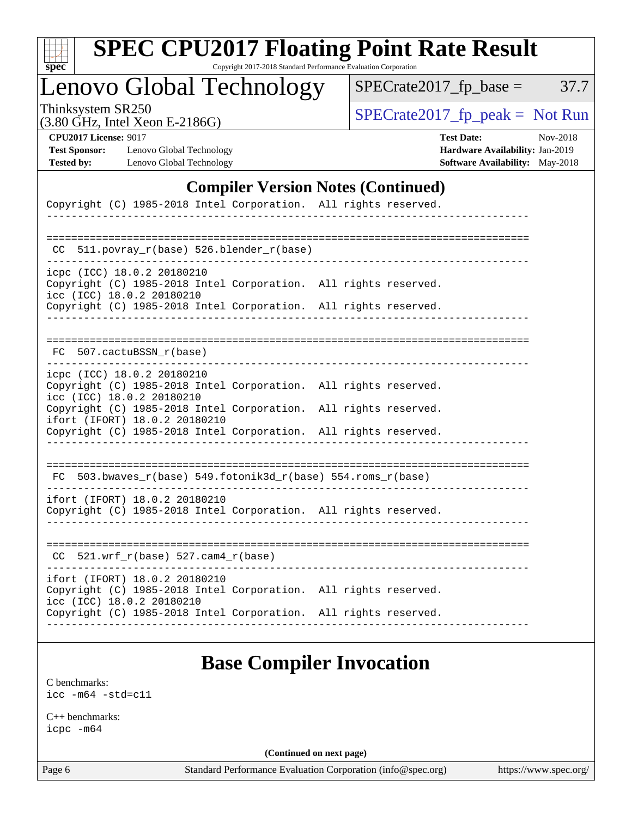| c<br>E<br>S<br>L<br>Ġ. |  |  |  |  |
|------------------------|--|--|--|--|

# **[SPEC CPU2017 Floating Point Rate Result](http://www.spec.org/auto/cpu2017/Docs/result-fields.html#SPECCPU2017FloatingPointRateResult)**

Copyright 2017-2018 Standard Performance Evaluation Corporation

Lenovo Global Technology

 $SPECTate2017_fp\_peak = Not Run$ 

 $SPECTate2017_fp\_base = 37.7$ 

(3.80 GHz, Intel Xeon E-2186G)

**[CPU2017 License:](http://www.spec.org/auto/cpu2017/Docs/result-fields.html#CPU2017License)** 9017 **[Test Date:](http://www.spec.org/auto/cpu2017/Docs/result-fields.html#TestDate)** Nov-2018 **[Test Sponsor:](http://www.spec.org/auto/cpu2017/Docs/result-fields.html#TestSponsor)** Lenovo Global Technology **[Hardware Availability:](http://www.spec.org/auto/cpu2017/Docs/result-fields.html#HardwareAvailability)** Jan-2019 **[Tested by:](http://www.spec.org/auto/cpu2017/Docs/result-fields.html#Testedby)** Lenovo Global Technology **[Software Availability:](http://www.spec.org/auto/cpu2017/Docs/result-fields.html#SoftwareAvailability)** May-2018

#### **[Compiler Version Notes \(Continued\)](http://www.spec.org/auto/cpu2017/Docs/result-fields.html#CompilerVersionNotes)**

| Copyright (C) 1985-2018 Intel Corporation. All rights reserved.                                                                                                     |  |  |  |  |  |  |
|---------------------------------------------------------------------------------------------------------------------------------------------------------------------|--|--|--|--|--|--|
|                                                                                                                                                                     |  |  |  |  |  |  |
| 511.povray_r(base) 526.blender_r(base)<br>CC.                                                                                                                       |  |  |  |  |  |  |
| icpc (ICC) 18.0.2 20180210<br>Copyright (C) 1985-2018 Intel Corporation. All rights reserved.<br>icc (ICC) 18.0.2 20180210                                          |  |  |  |  |  |  |
| Copyright (C) 1985-2018 Intel Corporation. All rights reserved.                                                                                                     |  |  |  |  |  |  |
| FC 507.cactuBSSN r(base)                                                                                                                                            |  |  |  |  |  |  |
| icpc (ICC) 18.0.2 20180210<br>Copyright (C) 1985-2018 Intel Corporation. All rights reserved.<br>icc (ICC) 18.0.2 20180210                                          |  |  |  |  |  |  |
| Copyright (C) 1985-2018 Intel Corporation. All rights reserved.<br>ifort (IFORT) 18.0.2 20180210<br>Copyright (C) 1985-2018 Intel Corporation. All rights reserved. |  |  |  |  |  |  |
|                                                                                                                                                                     |  |  |  |  |  |  |
| FC 503.bwaves_r(base) 549.fotonik3d_r(base) 554.roms_r(base)                                                                                                        |  |  |  |  |  |  |
| ifort (IFORT) 18.0.2 20180210<br>Copyright (C) 1985-2018 Intel Corporation. All rights reserved.                                                                    |  |  |  |  |  |  |
| $CC$ 521.wrf_r(base) 527.cam4_r(base)                                                                                                                               |  |  |  |  |  |  |
| ifort (IFORT) 18.0.2 20180210<br>Copyright (C) 1985-2018 Intel Corporation. All rights reserved.<br>icc (ICC) 18.0.2 20180210                                       |  |  |  |  |  |  |
| Copyright (C) 1985-2018 Intel Corporation. All rights reserved.                                                                                                     |  |  |  |  |  |  |

## **[Base Compiler Invocation](http://www.spec.org/auto/cpu2017/Docs/result-fields.html#BaseCompilerInvocation)**

[C benchmarks](http://www.spec.org/auto/cpu2017/Docs/result-fields.html#Cbenchmarks): [icc -m64 -std=c11](http://www.spec.org/cpu2017/results/res2018q4/cpu2017-20181113-09690.flags.html#user_CCbase_intel_icc_64bit_c11_33ee0cdaae7deeeab2a9725423ba97205ce30f63b9926c2519791662299b76a0318f32ddfffdc46587804de3178b4f9328c46fa7c2b0cd779d7a61945c91cd35)

[C++ benchmarks:](http://www.spec.org/auto/cpu2017/Docs/result-fields.html#CXXbenchmarks) [icpc -m64](http://www.spec.org/cpu2017/results/res2018q4/cpu2017-20181113-09690.flags.html#user_CXXbase_intel_icpc_64bit_4ecb2543ae3f1412ef961e0650ca070fec7b7afdcd6ed48761b84423119d1bf6bdf5cad15b44d48e7256388bc77273b966e5eb805aefd121eb22e9299b2ec9d9)

**(Continued on next page)**

Page 6 Standard Performance Evaluation Corporation [\(info@spec.org\)](mailto:info@spec.org) <https://www.spec.org/>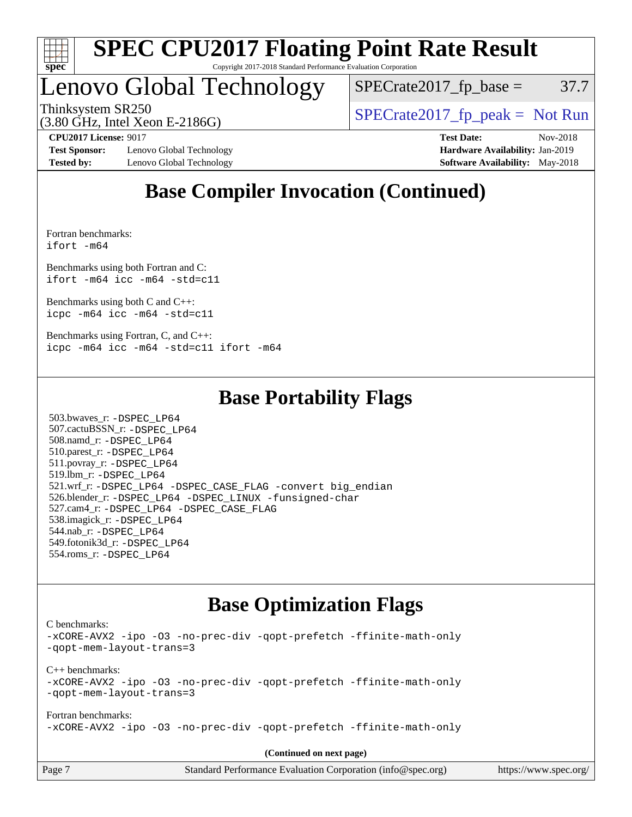

# Lenovo Global Technology

 $SPECTate2017<sub>fp</sub> base =  $37.7$$ 

(3.80 GHz, Intel Xeon E-2186G)

Thinksystem SR250  $SPECrate2017$  fp\_peak = Not Run

**[Test Sponsor:](http://www.spec.org/auto/cpu2017/Docs/result-fields.html#TestSponsor)** Lenovo Global Technology **[Hardware Availability:](http://www.spec.org/auto/cpu2017/Docs/result-fields.html#HardwareAvailability)** Jan-2019 **[Tested by:](http://www.spec.org/auto/cpu2017/Docs/result-fields.html#Testedby)** Lenovo Global Technology **[Software Availability:](http://www.spec.org/auto/cpu2017/Docs/result-fields.html#SoftwareAvailability)** May-2018

**[CPU2017 License:](http://www.spec.org/auto/cpu2017/Docs/result-fields.html#CPU2017License)** 9017 **[Test Date:](http://www.spec.org/auto/cpu2017/Docs/result-fields.html#TestDate)** Nov-2018

## **[Base Compiler Invocation \(Continued\)](http://www.spec.org/auto/cpu2017/Docs/result-fields.html#BaseCompilerInvocation)**

[Fortran benchmarks](http://www.spec.org/auto/cpu2017/Docs/result-fields.html#Fortranbenchmarks): [ifort -m64](http://www.spec.org/cpu2017/results/res2018q4/cpu2017-20181113-09690.flags.html#user_FCbase_intel_ifort_64bit_24f2bb282fbaeffd6157abe4f878425411749daecae9a33200eee2bee2fe76f3b89351d69a8130dd5949958ce389cf37ff59a95e7a40d588e8d3a57e0c3fd751)

[Benchmarks using both Fortran and C](http://www.spec.org/auto/cpu2017/Docs/result-fields.html#BenchmarksusingbothFortranandC): [ifort -m64](http://www.spec.org/cpu2017/results/res2018q4/cpu2017-20181113-09690.flags.html#user_CC_FCbase_intel_ifort_64bit_24f2bb282fbaeffd6157abe4f878425411749daecae9a33200eee2bee2fe76f3b89351d69a8130dd5949958ce389cf37ff59a95e7a40d588e8d3a57e0c3fd751) [icc -m64 -std=c11](http://www.spec.org/cpu2017/results/res2018q4/cpu2017-20181113-09690.flags.html#user_CC_FCbase_intel_icc_64bit_c11_33ee0cdaae7deeeab2a9725423ba97205ce30f63b9926c2519791662299b76a0318f32ddfffdc46587804de3178b4f9328c46fa7c2b0cd779d7a61945c91cd35)

[Benchmarks using both C and C++](http://www.spec.org/auto/cpu2017/Docs/result-fields.html#BenchmarksusingbothCandCXX): [icpc -m64](http://www.spec.org/cpu2017/results/res2018q4/cpu2017-20181113-09690.flags.html#user_CC_CXXbase_intel_icpc_64bit_4ecb2543ae3f1412ef961e0650ca070fec7b7afdcd6ed48761b84423119d1bf6bdf5cad15b44d48e7256388bc77273b966e5eb805aefd121eb22e9299b2ec9d9) [icc -m64 -std=c11](http://www.spec.org/cpu2017/results/res2018q4/cpu2017-20181113-09690.flags.html#user_CC_CXXbase_intel_icc_64bit_c11_33ee0cdaae7deeeab2a9725423ba97205ce30f63b9926c2519791662299b76a0318f32ddfffdc46587804de3178b4f9328c46fa7c2b0cd779d7a61945c91cd35)

[Benchmarks using Fortran, C, and C++:](http://www.spec.org/auto/cpu2017/Docs/result-fields.html#BenchmarksusingFortranCandCXX) [icpc -m64](http://www.spec.org/cpu2017/results/res2018q4/cpu2017-20181113-09690.flags.html#user_CC_CXX_FCbase_intel_icpc_64bit_4ecb2543ae3f1412ef961e0650ca070fec7b7afdcd6ed48761b84423119d1bf6bdf5cad15b44d48e7256388bc77273b966e5eb805aefd121eb22e9299b2ec9d9) [icc -m64 -std=c11](http://www.spec.org/cpu2017/results/res2018q4/cpu2017-20181113-09690.flags.html#user_CC_CXX_FCbase_intel_icc_64bit_c11_33ee0cdaae7deeeab2a9725423ba97205ce30f63b9926c2519791662299b76a0318f32ddfffdc46587804de3178b4f9328c46fa7c2b0cd779d7a61945c91cd35) [ifort -m64](http://www.spec.org/cpu2017/results/res2018q4/cpu2017-20181113-09690.flags.html#user_CC_CXX_FCbase_intel_ifort_64bit_24f2bb282fbaeffd6157abe4f878425411749daecae9a33200eee2bee2fe76f3b89351d69a8130dd5949958ce389cf37ff59a95e7a40d588e8d3a57e0c3fd751)

### **[Base Portability Flags](http://www.spec.org/auto/cpu2017/Docs/result-fields.html#BasePortabilityFlags)**

 503.bwaves\_r: [-DSPEC\\_LP64](http://www.spec.org/cpu2017/results/res2018q4/cpu2017-20181113-09690.flags.html#suite_basePORTABILITY503_bwaves_r_DSPEC_LP64) 507.cactuBSSN\_r: [-DSPEC\\_LP64](http://www.spec.org/cpu2017/results/res2018q4/cpu2017-20181113-09690.flags.html#suite_basePORTABILITY507_cactuBSSN_r_DSPEC_LP64) 508.namd\_r: [-DSPEC\\_LP64](http://www.spec.org/cpu2017/results/res2018q4/cpu2017-20181113-09690.flags.html#suite_basePORTABILITY508_namd_r_DSPEC_LP64) 510.parest\_r: [-DSPEC\\_LP64](http://www.spec.org/cpu2017/results/res2018q4/cpu2017-20181113-09690.flags.html#suite_basePORTABILITY510_parest_r_DSPEC_LP64) 511.povray\_r: [-DSPEC\\_LP64](http://www.spec.org/cpu2017/results/res2018q4/cpu2017-20181113-09690.flags.html#suite_basePORTABILITY511_povray_r_DSPEC_LP64) 519.lbm\_r: [-DSPEC\\_LP64](http://www.spec.org/cpu2017/results/res2018q4/cpu2017-20181113-09690.flags.html#suite_basePORTABILITY519_lbm_r_DSPEC_LP64) 521.wrf\_r: [-DSPEC\\_LP64](http://www.spec.org/cpu2017/results/res2018q4/cpu2017-20181113-09690.flags.html#suite_basePORTABILITY521_wrf_r_DSPEC_LP64) [-DSPEC\\_CASE\\_FLAG](http://www.spec.org/cpu2017/results/res2018q4/cpu2017-20181113-09690.flags.html#b521.wrf_r_baseCPORTABILITY_DSPEC_CASE_FLAG) [-convert big\\_endian](http://www.spec.org/cpu2017/results/res2018q4/cpu2017-20181113-09690.flags.html#user_baseFPORTABILITY521_wrf_r_convert_big_endian_c3194028bc08c63ac5d04de18c48ce6d347e4e562e8892b8bdbdc0214820426deb8554edfa529a3fb25a586e65a3d812c835984020483e7e73212c4d31a38223) 526.blender\_r: [-DSPEC\\_LP64](http://www.spec.org/cpu2017/results/res2018q4/cpu2017-20181113-09690.flags.html#suite_basePORTABILITY526_blender_r_DSPEC_LP64) [-DSPEC\\_LINUX](http://www.spec.org/cpu2017/results/res2018q4/cpu2017-20181113-09690.flags.html#b526.blender_r_baseCPORTABILITY_DSPEC_LINUX) [-funsigned-char](http://www.spec.org/cpu2017/results/res2018q4/cpu2017-20181113-09690.flags.html#user_baseCPORTABILITY526_blender_r_force_uchar_40c60f00ab013830e2dd6774aeded3ff59883ba5a1fc5fc14077f794d777847726e2a5858cbc7672e36e1b067e7e5c1d9a74f7176df07886a243d7cc18edfe67) 527.cam4\_r: [-DSPEC\\_LP64](http://www.spec.org/cpu2017/results/res2018q4/cpu2017-20181113-09690.flags.html#suite_basePORTABILITY527_cam4_r_DSPEC_LP64) [-DSPEC\\_CASE\\_FLAG](http://www.spec.org/cpu2017/results/res2018q4/cpu2017-20181113-09690.flags.html#b527.cam4_r_baseCPORTABILITY_DSPEC_CASE_FLAG) 538.imagick\_r: [-DSPEC\\_LP64](http://www.spec.org/cpu2017/results/res2018q4/cpu2017-20181113-09690.flags.html#suite_basePORTABILITY538_imagick_r_DSPEC_LP64) 544.nab\_r: [-DSPEC\\_LP64](http://www.spec.org/cpu2017/results/res2018q4/cpu2017-20181113-09690.flags.html#suite_basePORTABILITY544_nab_r_DSPEC_LP64) 549.fotonik3d\_r: [-DSPEC\\_LP64](http://www.spec.org/cpu2017/results/res2018q4/cpu2017-20181113-09690.flags.html#suite_basePORTABILITY549_fotonik3d_r_DSPEC_LP64) 554.roms\_r: [-DSPEC\\_LP64](http://www.spec.org/cpu2017/results/res2018q4/cpu2017-20181113-09690.flags.html#suite_basePORTABILITY554_roms_r_DSPEC_LP64)

## **[Base Optimization Flags](http://www.spec.org/auto/cpu2017/Docs/result-fields.html#BaseOptimizationFlags)**

[C benchmarks](http://www.spec.org/auto/cpu2017/Docs/result-fields.html#Cbenchmarks):

[-xCORE-AVX2](http://www.spec.org/cpu2017/results/res2018q4/cpu2017-20181113-09690.flags.html#user_CCbase_f-xCORE-AVX2) [-ipo](http://www.spec.org/cpu2017/results/res2018q4/cpu2017-20181113-09690.flags.html#user_CCbase_f-ipo) [-O3](http://www.spec.org/cpu2017/results/res2018q4/cpu2017-20181113-09690.flags.html#user_CCbase_f-O3) [-no-prec-div](http://www.spec.org/cpu2017/results/res2018q4/cpu2017-20181113-09690.flags.html#user_CCbase_f-no-prec-div) [-qopt-prefetch](http://www.spec.org/cpu2017/results/res2018q4/cpu2017-20181113-09690.flags.html#user_CCbase_f-qopt-prefetch) [-ffinite-math-only](http://www.spec.org/cpu2017/results/res2018q4/cpu2017-20181113-09690.flags.html#user_CCbase_f_finite_math_only_cb91587bd2077682c4b38af759c288ed7c732db004271a9512da14a4f8007909a5f1427ecbf1a0fb78ff2a814402c6114ac565ca162485bbcae155b5e4258871) [-qopt-mem-layout-trans=3](http://www.spec.org/cpu2017/results/res2018q4/cpu2017-20181113-09690.flags.html#user_CCbase_f-qopt-mem-layout-trans_de80db37974c74b1f0e20d883f0b675c88c3b01e9d123adea9b28688d64333345fb62bc4a798493513fdb68f60282f9a726aa07f478b2f7113531aecce732043) [C++ benchmarks:](http://www.spec.org/auto/cpu2017/Docs/result-fields.html#CXXbenchmarks) [-xCORE-AVX2](http://www.spec.org/cpu2017/results/res2018q4/cpu2017-20181113-09690.flags.html#user_CXXbase_f-xCORE-AVX2) [-ipo](http://www.spec.org/cpu2017/results/res2018q4/cpu2017-20181113-09690.flags.html#user_CXXbase_f-ipo) [-O3](http://www.spec.org/cpu2017/results/res2018q4/cpu2017-20181113-09690.flags.html#user_CXXbase_f-O3) [-no-prec-div](http://www.spec.org/cpu2017/results/res2018q4/cpu2017-20181113-09690.flags.html#user_CXXbase_f-no-prec-div) [-qopt-prefetch](http://www.spec.org/cpu2017/results/res2018q4/cpu2017-20181113-09690.flags.html#user_CXXbase_f-qopt-prefetch) [-ffinite-math-only](http://www.spec.org/cpu2017/results/res2018q4/cpu2017-20181113-09690.flags.html#user_CXXbase_f_finite_math_only_cb91587bd2077682c4b38af759c288ed7c732db004271a9512da14a4f8007909a5f1427ecbf1a0fb78ff2a814402c6114ac565ca162485bbcae155b5e4258871) [-qopt-mem-layout-trans=3](http://www.spec.org/cpu2017/results/res2018q4/cpu2017-20181113-09690.flags.html#user_CXXbase_f-qopt-mem-layout-trans_de80db37974c74b1f0e20d883f0b675c88c3b01e9d123adea9b28688d64333345fb62bc4a798493513fdb68f60282f9a726aa07f478b2f7113531aecce732043) [Fortran benchmarks](http://www.spec.org/auto/cpu2017/Docs/result-fields.html#Fortranbenchmarks): [-xCORE-AVX2](http://www.spec.org/cpu2017/results/res2018q4/cpu2017-20181113-09690.flags.html#user_FCbase_f-xCORE-AVX2) [-ipo](http://www.spec.org/cpu2017/results/res2018q4/cpu2017-20181113-09690.flags.html#user_FCbase_f-ipo) [-O3](http://www.spec.org/cpu2017/results/res2018q4/cpu2017-20181113-09690.flags.html#user_FCbase_f-O3) [-no-prec-div](http://www.spec.org/cpu2017/results/res2018q4/cpu2017-20181113-09690.flags.html#user_FCbase_f-no-prec-div) [-qopt-prefetch](http://www.spec.org/cpu2017/results/res2018q4/cpu2017-20181113-09690.flags.html#user_FCbase_f-qopt-prefetch) [-ffinite-math-only](http://www.spec.org/cpu2017/results/res2018q4/cpu2017-20181113-09690.flags.html#user_FCbase_f_finite_math_only_cb91587bd2077682c4b38af759c288ed7c732db004271a9512da14a4f8007909a5f1427ecbf1a0fb78ff2a814402c6114ac565ca162485bbcae155b5e4258871)

**(Continued on next page)**

| Page 7 | Standard Performance Evaluation Corporation (info@spec.org) | https://www.spec.org/ |
|--------|-------------------------------------------------------------|-----------------------|
|        |                                                             |                       |